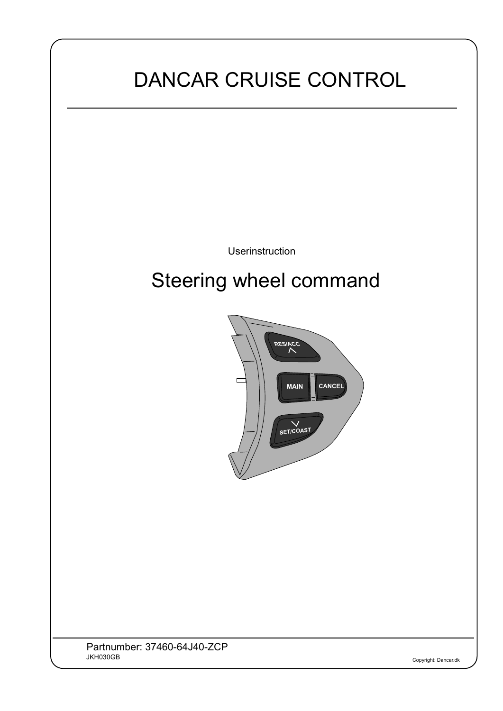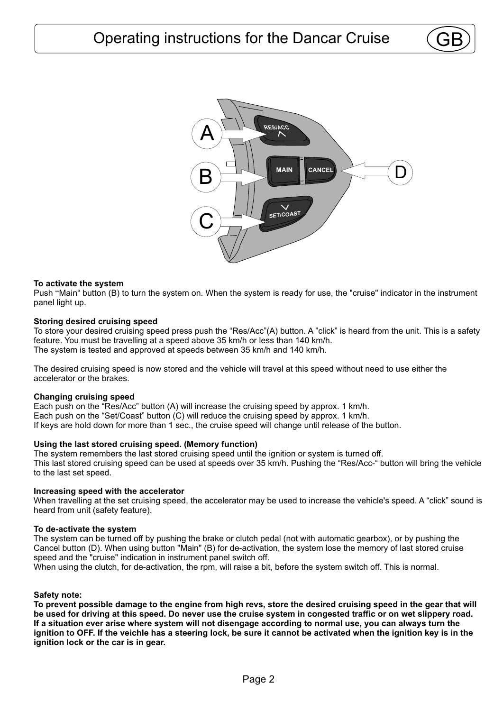

# **To activate the system**

Push "Main" button (B) to turn the system on. When the system is ready for use, the "cruise" indicator in the instrument panel light up.

### **Storing desired cruising speed**

To store your desired cruising speed press push the "Res/Acc"(A) button. A "click" is heard from the unit. This is a safety feature. You must be travelling at a speed above 35 km/h or less than 140 km/h. The system is tested and approved at speeds between 35 km/h and 140 km/h.

The desired cruising speed is now stored and the vehicle will travel at this speed without need to use either the accelerator or the brakes.

### **Changing cruising speed**

Each push on the "Res/Acc" button (A) will increase the cruising speed by approx. 1 km/h. Each push on the "Set/Coast" button (C) will reduce the cruising speed by approx. 1 km/h. If keys are hold down for more than 1 sec., the cruise speed will change until release of the button.

### **Using the last stored cruising speed. (Memory function)**

The system remembers the last stored cruising speed until the ignition or system is turned off. This last stored cruising speed can be used at speeds over 35 km/h. Pushing the "Res/Acc-" button will bring the vehicle to the last set speed.

### **Increasing speed with the accelerator**

When travelling at the set cruising speed, the accelerator may be used to increase the vehicle's speed. A "click" sound is heard from unit (safety feature).

#### **To de-activate the system**

The system can be turned off by pushing the brake or clutch pedal (not with automatic gearbox), or by pushing the Cancel button (D). When using button "Main" (B) for de-activation, the system lose the memory of last stored cruise speed and the "cruise" indication in instrument panel switch off.

When using the clutch, for de-activation, the rpm, will raise a bit, before the system switch off. This is normal.

## **Safety note:**

**To prevent possible damage to the engine from high revs, store the desired cruising speed in the gear that will be used for driving at this speed. Do never use the cruise system in congested traffic or on wet slippery road. If a situation ever arise where system will not disengage according to normal use, you can always turn the**  ignition to OFF. If the veichle has a steering lock, be sure it cannot be activated when the ignition key is in the **ignition lock or the car is in gear.**